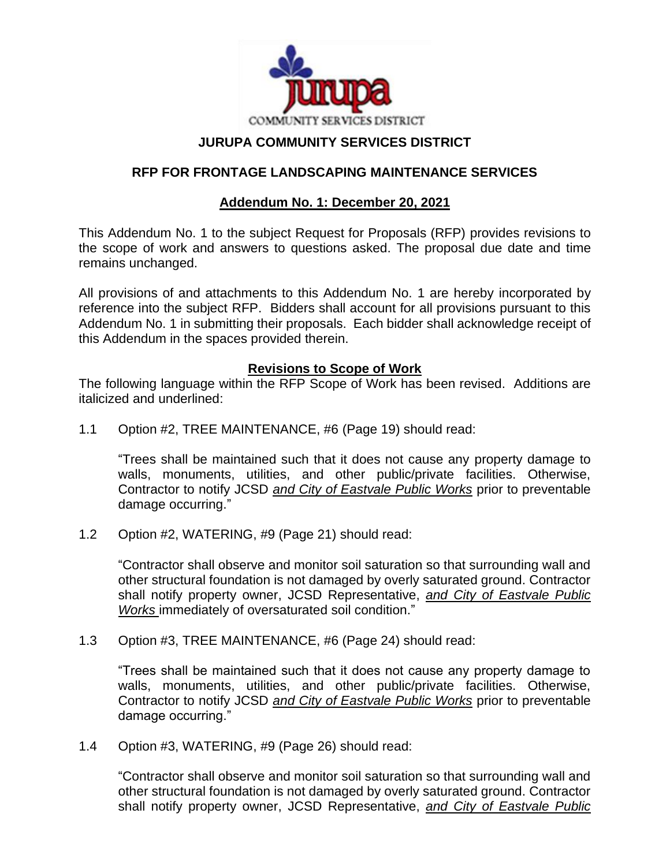

# **JURUPA COMMUNITY SERVICES DISTRICT**

### **RFP FOR FRONTAGE LANDSCAPING MAINTENANCE SERVICES**

## **Addendum No. 1: December 20, 2021**

This Addendum No. 1 to the subject Request for Proposals (RFP) provides revisions to the scope of work and answers to questions asked. The proposal due date and time remains unchanged.

All provisions of and attachments to this Addendum No. 1 are hereby incorporated by reference into the subject RFP. Bidders shall account for all provisions pursuant to this Addendum No. 1 in submitting their proposals. Each bidder shall acknowledge receipt of this Addendum in the spaces provided therein.

### **Revisions to Scope of Work**

The following language within the RFP Scope of Work has been revised. Additions are italicized and underlined:

1.1 Option #2, TREE MAINTENANCE, #6 (Page 19) should read:

"Trees shall be maintained such that it does not cause any property damage to walls, monuments, utilities, and other public/private facilities. Otherwise, Contractor to notify JCSD *and City of Eastvale Public Works* prior to preventable damage occurring."

1.2 Option #2, WATERING, #9 (Page 21) should read:

"Contractor shall observe and monitor soil saturation so that surrounding wall and other structural foundation is not damaged by overly saturated ground. Contractor shall notify property owner, JCSD Representative, *and City of Eastvale Public Works* immediately of oversaturated soil condition."

1.3 Option #3, TREE MAINTENANCE, #6 (Page 24) should read:

"Trees shall be maintained such that it does not cause any property damage to walls, monuments, utilities, and other public/private facilities. Otherwise, Contractor to notify JCSD *and City of Eastvale Public Works* prior to preventable damage occurring."

1.4 Option #3, WATERING, #9 (Page 26) should read:

"Contractor shall observe and monitor soil saturation so that surrounding wall and other structural foundation is not damaged by overly saturated ground. Contractor shall notify property owner, JCSD Representative, *and City of Eastvale Public*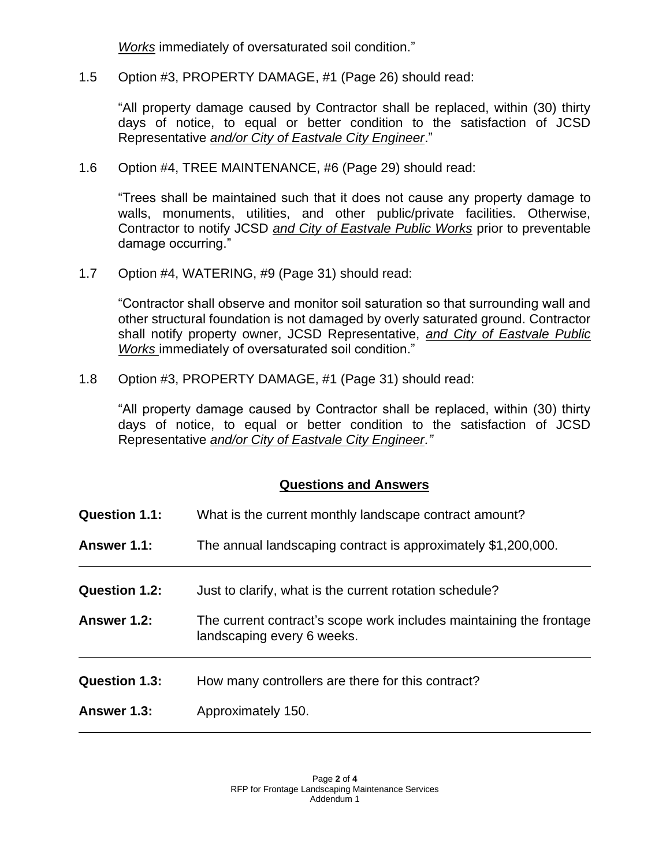*Works* immediately of oversaturated soil condition."

1.5 Option #3, PROPERTY DAMAGE, #1 (Page 26) should read:

"All property damage caused by Contractor shall be replaced, within (30) thirty days of notice, to equal or better condition to the satisfaction of JCSD Representative *and/or City of Eastvale City Engineer*."

1.6 Option #4, TREE MAINTENANCE, #6 (Page 29) should read:

"Trees shall be maintained such that it does not cause any property damage to walls, monuments, utilities, and other public/private facilities. Otherwise, Contractor to notify JCSD *and City of Eastvale Public Works* prior to preventable damage occurring."

1.7 Option #4, WATERING, #9 (Page 31) should read:

"Contractor shall observe and monitor soil saturation so that surrounding wall and other structural foundation is not damaged by overly saturated ground. Contractor shall notify property owner, JCSD Representative, *and City of Eastvale Public Works* immediately of oversaturated soil condition."

1.8 Option #3, PROPERTY DAMAGE, #1 (Page 31) should read:

"All property damage caused by Contractor shall be replaced, within (30) thirty days of notice, to equal or better condition to the satisfaction of JCSD Representative *and/or City of Eastvale City Engineer."*

### **Questions and Answers**

| <b>Question 1.1:</b> | What is the current monthly landscape contract amount?                                            |
|----------------------|---------------------------------------------------------------------------------------------------|
| Answer 1.1:          | The annual landscaping contract is approximately \$1,200,000.                                     |
| Question 1.2:        | Just to clarify, what is the current rotation schedule?                                           |
| Answer 1.2:          | The current contract's scope work includes maintaining the frontage<br>landscaping every 6 weeks. |
| <b>Question 1.3:</b> | How many controllers are there for this contract?                                                 |
| Answer 1.3:          | Approximately 150.                                                                                |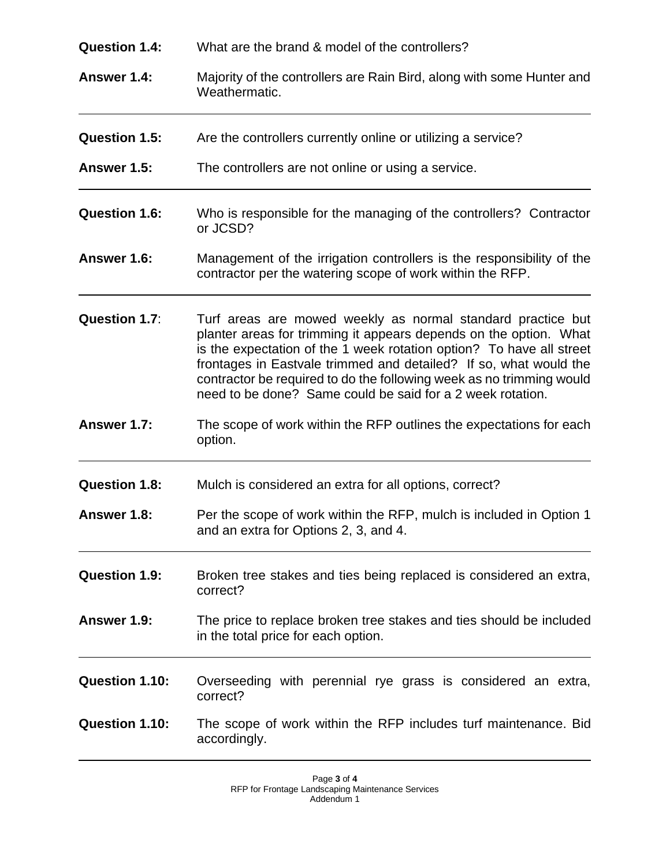| <b>Question 1.4:</b>  | What are the brand & model of the controllers?                                                                                                                                                                                                                                                                                                                                                                      |
|-----------------------|---------------------------------------------------------------------------------------------------------------------------------------------------------------------------------------------------------------------------------------------------------------------------------------------------------------------------------------------------------------------------------------------------------------------|
| Answer 1.4:           | Majority of the controllers are Rain Bird, along with some Hunter and<br>Weathermatic.                                                                                                                                                                                                                                                                                                                              |
| <b>Question 1.5:</b>  | Are the controllers currently online or utilizing a service?                                                                                                                                                                                                                                                                                                                                                        |
| Answer 1.5:           | The controllers are not online or using a service.                                                                                                                                                                                                                                                                                                                                                                  |
| <b>Question 1.6:</b>  | Who is responsible for the managing of the controllers? Contractor<br>or JCSD?                                                                                                                                                                                                                                                                                                                                      |
| Answer 1.6:           | Management of the irrigation controllers is the responsibility of the<br>contractor per the watering scope of work within the RFP.                                                                                                                                                                                                                                                                                  |
| Question 1.7:         | Turf areas are mowed weekly as normal standard practice but<br>planter areas for trimming it appears depends on the option. What<br>is the expectation of the 1 week rotation option? To have all street<br>frontages in Eastvale trimmed and detailed? If so, what would the<br>contractor be required to do the following week as no trimming would<br>need to be done? Same could be said for a 2 week rotation. |
| Answer 1.7:           | The scope of work within the RFP outlines the expectations for each<br>option.                                                                                                                                                                                                                                                                                                                                      |
| <b>Question 1.8:</b>  | Mulch is considered an extra for all options, correct?                                                                                                                                                                                                                                                                                                                                                              |
| Answer 1.8:           | Per the scope of work within the RFP, mulch is included in Option 1<br>and an extra for Options 2, 3, and 4.                                                                                                                                                                                                                                                                                                        |
| <b>Question 1.9:</b>  | Broken tree stakes and ties being replaced is considered an extra,<br>correct?                                                                                                                                                                                                                                                                                                                                      |
| <b>Answer 1.9:</b>    | The price to replace broken tree stakes and ties should be included<br>in the total price for each option.                                                                                                                                                                                                                                                                                                          |
| <b>Question 1.10:</b> | Overseeding with perennial rye grass is considered an extra,<br>correct?                                                                                                                                                                                                                                                                                                                                            |
| Question 1.10:        | The scope of work within the RFP includes turf maintenance. Bid<br>accordingly.                                                                                                                                                                                                                                                                                                                                     |